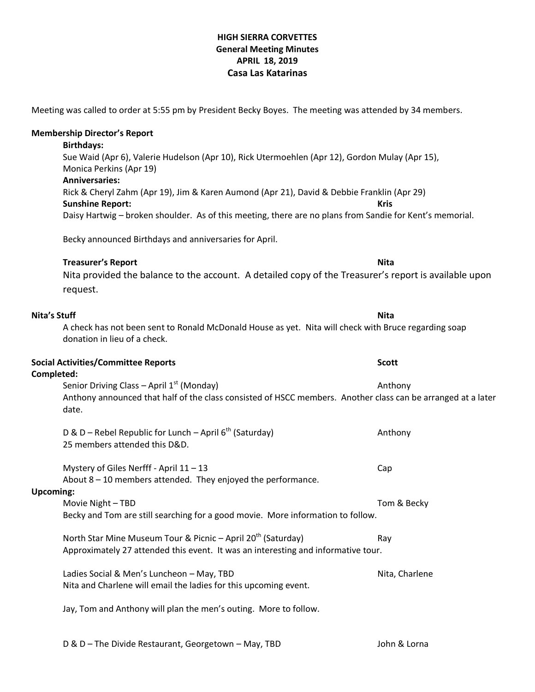#### **HIGH SIERRA CORVETTES General Meeting Minutes APRIL 18, 2019 Casa Las Katarinas**

|                  | Rick & Cheryl Zahm (Apr 19), Jim & Karen Aumond (Apr 21), David & Debbie Franklin (Apr 29)<br><b>Sunshine Report:</b><br>Kris<br>Daisy Hartwig - broken shoulder. As of this meeting, there are no plans from Sandie for Kent's memorial. |                |
|------------------|-------------------------------------------------------------------------------------------------------------------------------------------------------------------------------------------------------------------------------------------|----------------|
|                  | Becky announced Birthdays and anniversaries for April.                                                                                                                                                                                    |                |
|                  | <b>Treasurer's Report</b><br>Nita provided the balance to the account. A detailed copy of the Treasurer's report is available upon<br>request.                                                                                            | <b>Nita</b>    |
| Nita's Stuff     | A check has not been sent to Ronald McDonald House as yet. Nita will check with Bruce regarding soap<br>donation in lieu of a check.                                                                                                      | Nita           |
| Completed:       | <b>Social Activities/Committee Reports</b>                                                                                                                                                                                                | <b>Scott</b>   |
|                  | Senior Driving Class - April 1 <sup>st</sup> (Monday)<br>Anthony announced that half of the class consisted of HSCC members. Another class can be arranged at a later<br>date.                                                            | Anthony        |
|                  | D & D – Rebel Republic for Lunch – April $6^{th}$ (Saturday)<br>25 members attended this D&D.                                                                                                                                             | Anthony        |
| <b>Upcoming:</b> | Mystery of Giles Nerfff - April 11 - 13<br>About 8 - 10 members attended. They enjoyed the performance.                                                                                                                                   | Cap            |
|                  | Movie Night - TBD<br>Becky and Tom are still searching for a good movie. More information to follow.                                                                                                                                      | Tom & Becky    |
|                  | North Star Mine Museum Tour & Picnic - April 20 <sup>th</sup> (Saturday)<br>Approximately 27 attended this event. It was an interesting and informative tour.                                                                             | Ray            |
|                  | Ladies Social & Men's Luncheon - May, TBD<br>Nita and Charlene will email the ladies for this upcoming event.                                                                                                                             | Nita, Charlene |
|                  | Jay, Tom and Anthony will plan the men's outing. More to follow.                                                                                                                                                                          |                |

D & D – The Divide Restaurant, Georgetown – May, TBD John & Lorna

Meeting was called to order at 5:55 pm by President Becky Boyes. The meeting was attended by 34 members.

Sue Waid (Apr 6), Valerie Hudelson (Apr 10), Rick Utermoehlen (Apr 12), Gordon Mulay (Apr 15),

**Membership Director's Report Birthdays:**

**Anniversaries:**

Monica Perkins (Apr 19)